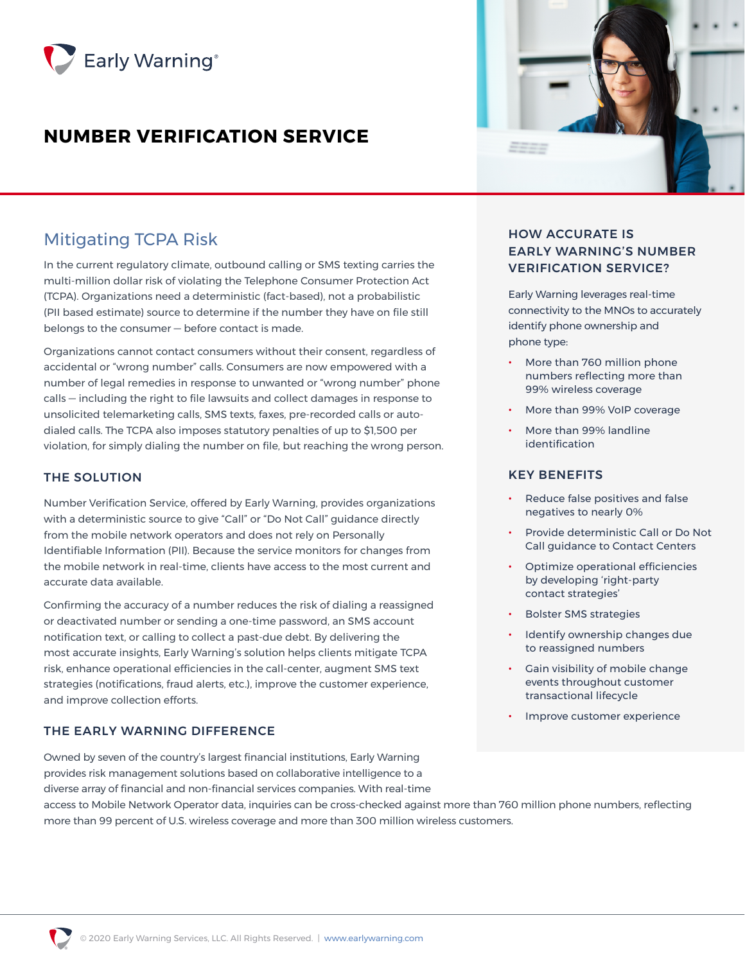

# **NUMBER VERIFICATION SERVICE**

## Mitigating TCPA Risk

In the current regulatory climate, outbound calling or SMS texting carries the multi-million dollar risk of violating the Telephone Consumer Protection Act (TCPA). Organizations need a deterministic (fact-based), not a probabilistic (PII based estimate) source to determine if the number they have on file still belongs to the consumer — before contact is made.

Organizations cannot contact consumers without their consent, regardless of accidental or "wrong number" calls. Consumers are now empowered with a number of legal remedies in response to unwanted or "wrong number" phone calls — including the right to file lawsuits and collect damages in response to unsolicited telemarketing calls, SMS texts, faxes, pre-recorded calls or autodialed calls. The TCPA also imposes statutory penalties of up to \$1,500 per violation, for simply dialing the number on file, but reaching the wrong person.

### THE SOLUTION

Number Verification Service, offered by Early Warning, provides organizations with a deterministic source to give "Call" or "Do Not Call" guidance directly from the mobile network operators and does not rely on Personally Identifiable Information (PII). Because the service monitors for changes from the mobile network in real-time, clients have access to the most current and accurate data available.

Confirming the accuracy of a number reduces the risk of dialing a reassigned or deactivated number or sending a one-time password, an SMS account notification text, or calling to collect a past-due debt. By delivering the most accurate insights, Early Warning's solution helps clients mitigate TCPA risk, enhance operational efficiencies in the call-center, augment SMS text strategies (notifications, fraud alerts, etc.), improve the customer experience, and improve collection efforts.

### THE EARLY WARNING DIFFERENCE

Owned by seven of the country's largest financial institutions, Early Warning provides risk management solutions based on collaborative intelligence to a diverse array of financial and non-financial services companies. With real-time



### HOW ACCURATE IS EARLY WARNING'S NUMBER VERIFICATION SERVICE?

Early Warning leverages real-time connectivity to the MNOs to accurately identify phone ownership and phone type:

- More than 760 million phone numbers reflecting more than 99% wireless coverage
- More than 99% VoIP coverage
- More than 99% landline identification

### KEY BENEFITS

- Reduce false positives and false negatives to nearly 0%
- Provide deterministic Call or Do Not Call guidance to Contact Centers
- Optimize operational efficiencies by developing 'right-party contact strategies'
- Bolster SMS strategies
- Identify ownership changes due to reassigned numbers
- Gain visibility of mobile change events throughout customer transactional lifecycle
- Improve customer experience

access to Mobile Network Operator data, inquiries can be cross-checked against more than 760 million phone numbers, reflecting more than 99 percent of U.S. wireless coverage and more than 300 million wireless customers.